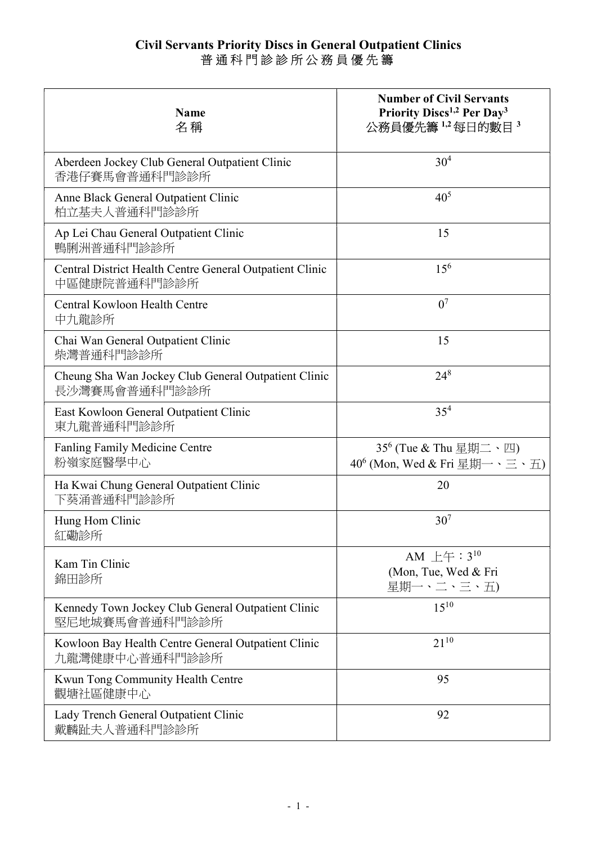## Civil Servants Priority Discs in General Outpatient Clinics 普 通 科 門 診 診 所 公 務 員 優 先 籌

| <b>Name</b><br>名稱                                                        | <b>Number of Civil Servants</b><br>Priority Discs <sup>1,2</sup> Per Day <sup>3</sup><br>公務員優先籌1,2每日的數目3 |
|--------------------------------------------------------------------------|----------------------------------------------------------------------------------------------------------|
| Aberdeen Jockey Club General Outpatient Clinic<br>香港仔賽馬會普通科門診診所          | $30^{4}$                                                                                                 |
| Anne Black General Outpatient Clinic<br>柏立基夫人普通科門診診所                     | $40^{5}$                                                                                                 |
| Ap Lei Chau General Outpatient Clinic<br>鴨脷洲普通科門診診所                      | 15                                                                                                       |
| Central District Health Centre General Outpatient Clinic<br>中區健康院普通科門診診所 | $15^{6}$                                                                                                 |
| Central Kowloon Health Centre<br>中九龍診所                                   | 0 <sup>7</sup>                                                                                           |
| Chai Wan General Outpatient Clinic<br>柴灣普通科門診診所                          | 15                                                                                                       |
| Cheung Sha Wan Jockey Club General Outpatient Clinic<br>長沙灣賽馬會普通科門診診所    | $24^{8}$                                                                                                 |
| East Kowloon General Outpatient Clinic<br>東九龍普通科門診診所                     | $35^{4}$                                                                                                 |
| <b>Fanling Family Medicine Centre</b><br>粉嶺家庭醫學中心                        | $35^6$ (Tue & Thu 星期二、四)<br>$40^6$ (Mon, Wed & Fri 星期一、三、五)                                              |
| Ha Kwai Chung General Outpatient Clinic<br>下葵涌普通科門診診所                    | 20                                                                                                       |
| Hung Hom Clinic<br>紅磡診所                                                  | 30 <sup>7</sup>                                                                                          |
| Kam Tin Clinic<br>錦田診所                                                   | AM $\pm$ $\pm$ $\pm$ $\pm$ $3^{10}$<br>(Mon, Tue, Wed & Fri<br>星期一、二、三、五)                                |
| Kennedy Town Jockey Club General Outpatient Clinic<br>堅尼地城賽馬會普通科門診診所     | $15^{10}$                                                                                                |
| Kowloon Bay Health Centre General Outpatient Clinic<br>九龍灣健康中心普通科門診診所    | $21^{10}$                                                                                                |
| Kwun Tong Community Health Centre<br>觀塘社區健康中心                            | 95                                                                                                       |
| Lady Trench General Outpatient Clinic<br>戴麟趾夫人普通科門診診所                    | 92                                                                                                       |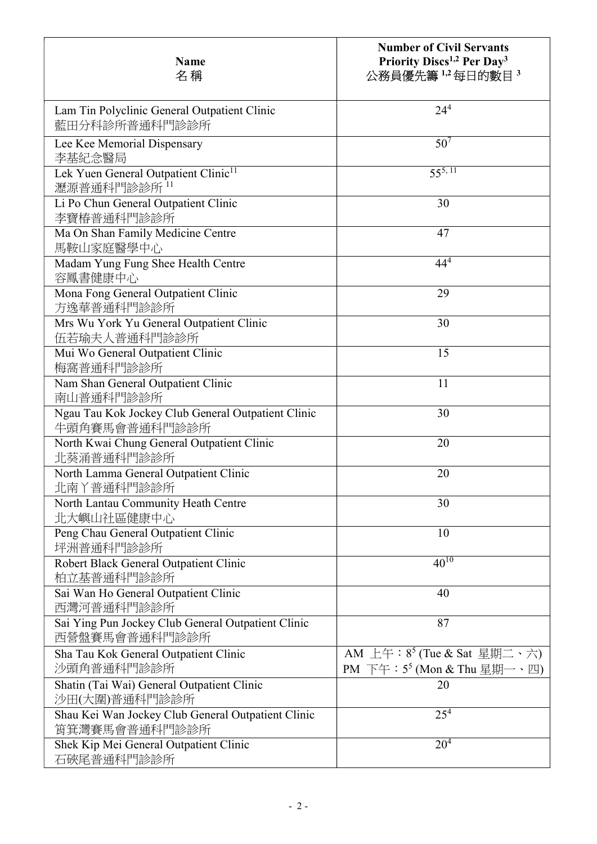| <b>Name</b><br>名稱                                                   | <b>Number of Civil Servants</b><br>Priority Discs <sup>1,2</sup> Per Day <sup>3</sup><br>公務員優先籌1,2每日的數目3 |
|---------------------------------------------------------------------|----------------------------------------------------------------------------------------------------------|
| Lam Tin Polyclinic General Outpatient Clinic<br>藍田分科診所普通科門診診所       | $24^{4}$                                                                                                 |
| Lee Kee Memorial Dispensary<br>李基紀念醫局                               | 50 <sup>7</sup>                                                                                          |
| Lek Yuen General Outpatient Clinic <sup>11</sup><br>瀝源普通科門診診所 11    | $55^{5,11}$                                                                                              |
| Li Po Chun General Outpatient Clinic<br>李寶椿普通科門診診所                  | 30                                                                                                       |
| Ma On Shan Family Medicine Centre<br>馬鞍山家庭醫學中心                      | 47                                                                                                       |
| Madam Yung Fung Shee Health Centre<br>容鳳書健康中心                       | $44^{4}$                                                                                                 |
| Mona Fong General Outpatient Clinic<br>方逸華普通科門診診所                   | 29                                                                                                       |
| Mrs Wu York Yu General Outpatient Clinic<br>伍若瑜夫人普通科門診診所            | 30                                                                                                       |
| Mui Wo General Outpatient Clinic<br>梅窩普通科門診診所                       | 15                                                                                                       |
| Nam Shan General Outpatient Clinic<br>南山普通科門診診所                     | 11                                                                                                       |
| Ngau Tau Kok Jockey Club General Outpatient Clinic<br>牛頭角賽馬會普通科門診診所 | 30                                                                                                       |
| North Kwai Chung General Outpatient Clinic<br>北葵涌普通科門診診所            | 20                                                                                                       |
| North Lamma General Outpatient Clinic<br>北南丫普通科門診診所                 | 20                                                                                                       |
| North Lantau Community Heath Centre<br>北大嶼山社區健康中心                   | 30                                                                                                       |
| Peng Chau General Outpatient Clinic<br>坪洲普通科門診診所                    | 10                                                                                                       |
| Robert Black General Outpatient Clinic<br>柏立基普通科門診診所                | $40^{10}$                                                                                                |
| Sai Wan Ho General Outpatient Clinic<br>西灣河普通科門診診所                  | 40                                                                                                       |
| Sai Ying Pun Jockey Club General Outpatient Clinic<br>西營盤賽馬會普通科門診診所 | 87                                                                                                       |
| Sha Tau Kok General Outpatient Clinic<br>沙頭角普通科門診診所                 | AM 上午: $8^5$ (Tue & Sat 星期二、六)<br>PM 下午: $5^5$ (Mon & Thu 星期一、四)                                         |
| Shatin (Tai Wai) General Outpatient Clinic<br>沙田(大圍)普通科門診診所         | 20                                                                                                       |
| Shau Kei Wan Jockey Club General Outpatient Clinic<br>筲箕灣賽馬會普通科門診診所 | $25^{4}$                                                                                                 |
| Shek Kip Mei General Outpatient Clinic<br>石硤尾普通科門診診所                | $20^{4}$                                                                                                 |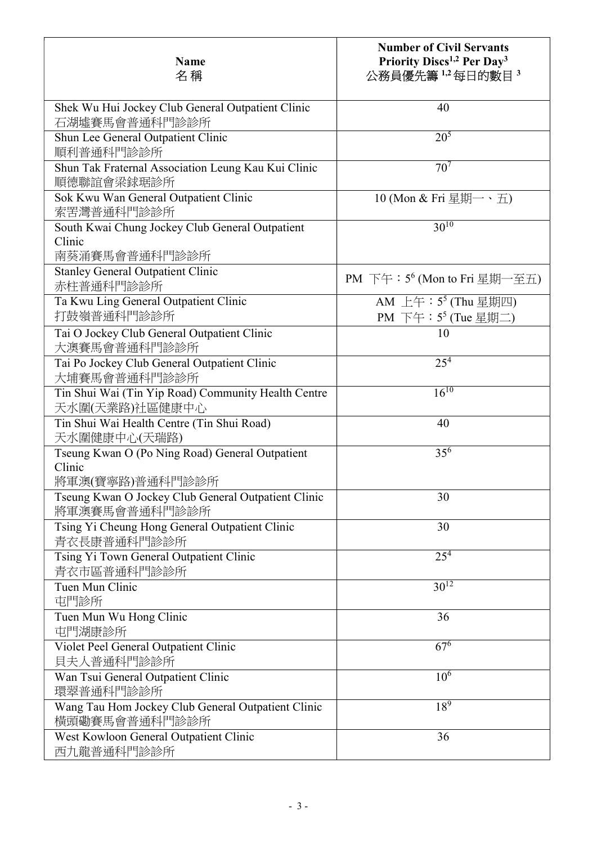| <b>Name</b><br>名稱                                                          | <b>Number of Civil Servants</b><br>Priority Discs <sup>1,2</sup> Per Day <sup>3</sup><br>公務員優先籌1,2每日的數目3 |
|----------------------------------------------------------------------------|----------------------------------------------------------------------------------------------------------|
|                                                                            |                                                                                                          |
| Shek Wu Hui Jockey Club General Outpatient Clinic<br>石湖墟賽馬會普通科門診診所         | 40                                                                                                       |
| Shun Lee General Outpatient Clinic<br>順利普通科門診診所                            | $20^{5}$                                                                                                 |
| Shun Tak Fraternal Association Leung Kau Kui Clinic<br>順德聯誼會梁銶琚診所          | 70 <sup>7</sup>                                                                                          |
| Sok Kwu Wan General Outpatient Clinic<br>索罟灣普通科門診診所                        | 10 (Mon & Fri 星期一、五)                                                                                     |
| South Kwai Chung Jockey Club General Outpatient<br>Clinic<br>南葵涌賽馬會普通科門診診所 | $30^{10}$                                                                                                |
| <b>Stanley General Outpatient Clinic</b><br>赤柱普通科門診診所                      | PM 下午: 5 <sup>6</sup> (Mon to Fri 星期一至五)                                                                 |
| Ta Kwu Ling General Outpatient Clinic<br>打鼓嶺普通科門診診所                        | AM 上午: 5 <sup>5</sup> (Thu 星期四)<br>PM 下午: 5 <sup>5</sup> (Tue 星期二)                                       |
| Tai O Jockey Club General Outpatient Clinic<br>大澳賽馬會普通科門診診所                | 10                                                                                                       |
| Tai Po Jockey Club General Outpatient Clinic<br>大埔賽馬會普通科門診診所               | 25 <sup>4</sup>                                                                                          |
| Tin Shui Wai (Tin Yip Road) Community Health Centre<br>天水圍(天業路)社區健康中心      | $16^{10}$                                                                                                |
| Tin Shui Wai Health Centre (Tin Shui Road)<br>天水圍健康中心(天瑞路)                 | 40                                                                                                       |
| Tseung Kwan O (Po Ning Road) General Outpatient<br>Clinic                  | $35^{6}$                                                                                                 |
| 將軍澳(寶寧路)普通科門診診所                                                            |                                                                                                          |
| Tseung Kwan O Jockey Club General Outpatient Clinic<br>將軍澳賽馬會普通科門診診所       | 30                                                                                                       |
| Tsing Yi Cheung Hong General Outpatient Clinic<br>青衣長康普通科門診診所              | 30                                                                                                       |
| Tsing Yi Town General Outpatient Clinic<br>青衣市區普通科門診診所                     | $25^{4}$                                                                                                 |
| Tuen Mun Clinic<br>屯門診所                                                    | $30^{12}$                                                                                                |
| Tuen Mun Wu Hong Clinic<br>屯門湖康診所                                          | 36                                                                                                       |
| Violet Peel General Outpatient Clinic<br>貝夫人普通科門診診所                        | $67^{6}$                                                                                                 |
| Wan Tsui General Outpatient Clinic<br>環翠普通科門診診所                            | $10^{6}$                                                                                                 |
| Wang Tau Hom Jockey Club General Outpatient Clinic<br>横頭磡賽馬會普通科門診診所        | $18^{9}$                                                                                                 |
| West Kowloon General Outpatient Clinic<br>西九龍普通科門診診所                       | 36                                                                                                       |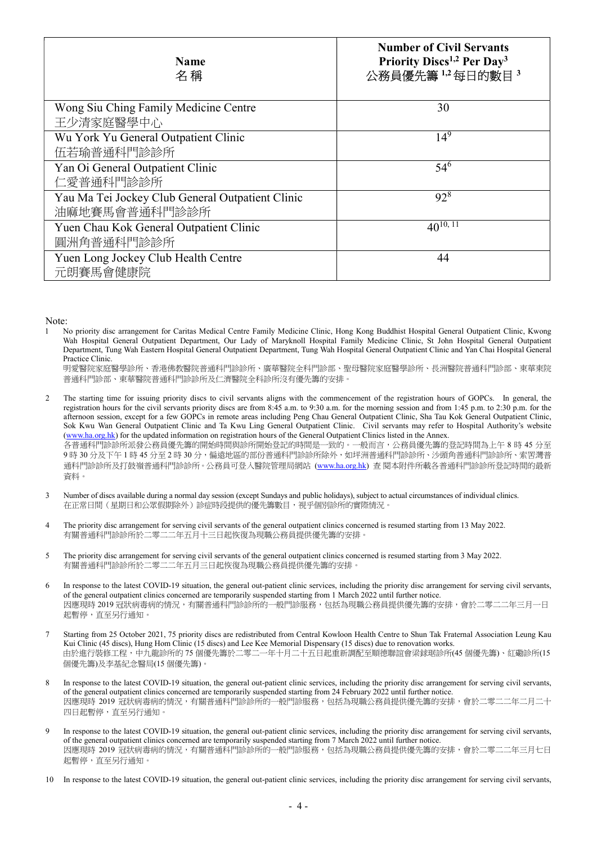| <b>Name</b><br>名稱                                | <b>Number of Civil Servants</b><br>Priority Discs <sup>1,2</sup> Per Day <sup>3</sup><br>公務員優先籌1,2每日的數目3 |
|--------------------------------------------------|----------------------------------------------------------------------------------------------------------|
| Wong Siu Ching Family Medicine Centre            | 30                                                                                                       |
| 王少清家庭醫學中心                                        |                                                                                                          |
| Wu York Yu General Outpatient Clinic             | $14^{9}$                                                                                                 |
| 伍若瑜普通科門診診所                                       |                                                                                                          |
| Yan Oi General Outpatient Clinic                 | $54^{6}$                                                                                                 |
| 仁愛普通科門診診所                                        |                                                                                                          |
| Yau Ma Tei Jockey Club General Outpatient Clinic | $92^{8}$                                                                                                 |
| 油麻地賽馬會普通科門診診所                                    |                                                                                                          |
| Yuen Chau Kok General Outpatient Clinic          | $40^{10, 11}$                                                                                            |
| 圓洲角普通科門診診所                                       |                                                                                                          |
| Yuen Long Jockey Club Health Centre              | 44                                                                                                       |
| 元朗賽馬會健康院                                         |                                                                                                          |

Note:

1 No priority disc arrangement for Caritas Medical Centre Family Medicine Clinic, Hong Kong Buddhist Hospital General Outpatient Clinic, Kwong Wah Hospital General Outpatient Department, Our Lady of Maryknoll Hospital Family Medicine Clinic, St John Hospital General Outpatient Department, Tung Wah Eastern Hospital General Outpatient Department, Tung Wah Hospital General Outpatient Clinic and Yan Chai Hospital General Practice Clinic.

明愛醫院家庭醫學診所、香港佛教醫院普通科門診診所、廣華醫院全科門診部、聖母醫院家庭醫學診所、長洲醫院普通科門診部、東華東院 普通科門診部、東華醫院普通科門診診所及仁濟醫院全科診所沒有優先籌的安排。

- 2 The starting time for issuing priority discs to civil servants aligns with the commencement of the registration hours of GOPCs. In general, the registration hours for the civil servants priority discs are from 8:45 a.m. to 9:30 a.m. for the morning session and from 1:45 p.m. to 2:30 p.m. for the afternoon session, except for a few GOPCs in remote areas including Peng Chau General Outpatient Clinic, Sha Tau Kok General Outpatient Clinic, Sok Kwu Wan General Outpatient Clinic and Ta Kwu Ling General Outpatient Clinic. Civil servants may refer to Hospital Authority's website (www.ha.org.hk) for the updated information on registration hours of the General Outpatient Clinics listed in the Annex. 各普通科門診診所派發公務員優先籌的開始時間與診所開始登記的時間是一致的。一般而言,公務員優先籌的登記時間為上午 8 時 45 分至 9 時 30 分及下午 1 時 45 分至 2 時 30 分,偏遠地區的部份普通科門診診所除外,如坪洲普通科門診診所、沙頭角普通科門診診所、索罟灣普 通科門診診所及打鼓嶺普通科門診診所。公務員可登入醫院管理局網站 (www.ha.org.hk) 查 閱本附件所載各普通科門診診所登記時間的最新 資料。
- 3 Number of discs available during a normal day session (except Sundays and public holidays), subject to actual circumstances of individual clinics. 在正常日間(星期日和公眾假期除外)診症時段提供的優先籌數目,視乎個別診所的實際情況。
- 4 The priority disc arrangement for serving civil servants of the general outpatient clinics concerned is resumed starting from 13 May 2022. 有關普通科門診診所於二零二二年五月十三日起恢復為現職公務員提供優先籌的安排。
- 5 The priority disc arrangement for serving civil servants of the general outpatient clinics concerned is resumed starting from 3 May 2022. 有關普通科門診診所於二零二二年五月三日起恢復為現職公務員提供優先籌的安排。
- 6 In response to the latest COVID-19 situation, the general out-patient clinic services, including the priority disc arrangement for serving civil servants, of the general outpatient clinics concerned are temporarily suspended starting from 1 March 2022 until further notice. 因應現時 2019 冠狀病毒病的情況,有關普通科門診診所的一般門診服務,包括為現職公務員提供優先籌的安排,會於二零二二年三月一日 起暫停,直至另行通知。
- 7 Starting from 25 October 2021, 75 priority discs are redistributed from Central Kowloon Health Centre to Shun Tak Fraternal Association Leung Kau Kui Clinic (45 discs), Hung Hom Clinic (15 discs) and Lee Kee Memorial Dispensary (15 discs) due to renovation works. 由於進行裝修工程,中九龍診所的 75 個優先籌於二零二一年十月二十五日起重新調配至順德聯誼會梁銶琚診所(45 個優先籌)、紅磡診所(15 個優先籌)及李基紀念醫局(15 個優先籌)。
- 8 In response to the latest COVID-19 situation, the general out-patient clinic services, including the priority disc arrangement for serving civil servants, of the general outpatient clinics concerned are temporarily suspended starting from 24 February 2022 until further notice. 因應現時 2019 冠狀病毒病的情況,有關普通科門診診所的一般門診服務,包括為現職公務員提供優先籌的安排,會於二零二二年二月二十 四日起暫停,直至另行通知。
- 9 In response to the latest COVID-19 situation, the general out-patient clinic services, including the priority disc arrangement for serving civil servants, of the general outpatient clinics concerned are temporarily suspended starting from 7 March 2022 until further notice. 因應現時 2019 冠狀病毒病的情況,有關普通科門診診所的一般門診服務,包括為現職公務員提供優先籌的安排,會於二零二二年三月七日 起暫停,直至另行通知。
- 10 In response to the latest COVID-19 situation, the general out-patient clinic services, including the priority disc arrangement for serving civil servants,